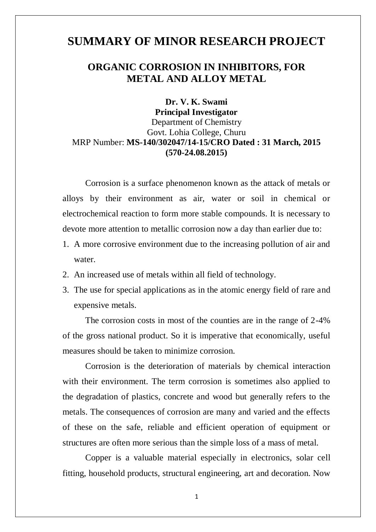## **SUMMARY OF MINOR RESEARCH PROJECT**

## **ORGANIC CORROSION IN INHIBITORS, FOR METAL AND ALLOY METAL**

## **Dr. V. K. Swami Principal Investigator** Department of Chemistry Govt. Lohia College, Churu MRP Number: **MS-140/302047/14-15/CRO Dated : 31 March, 2015 (570-24.08.2015)**

Corrosion is a surface phenomenon known as the attack of metals or alloys by their environment as air, water or soil in chemical or electrochemical reaction to form more stable compounds. It is necessary to devote more attention to metallic corrosion now a day than earlier due to:

- 1. A more corrosive environment due to the increasing pollution of air and water.
- 2. An increased use of metals within all field of technology.
- 3. The use for special applications as in the atomic energy field of rare and expensive metals.

The corrosion costs in most of the counties are in the range of 2-4% of the gross national product. So it is imperative that economically, useful measures should be taken to minimize corrosion.

Corrosion is the deterioration of materials by chemical interaction with their environment. The term corrosion is sometimes also applied to the degradation of plastics, concrete and wood but generally refers to the metals. The consequences of corrosion are many and varied and the effects of these on the safe, reliable and efficient operation of equipment or structures are often more serious than the simple loss of a mass of metal.

Copper is a valuable material especially in electronics, solar cell fitting, household products, structural engineering, art and decoration. Now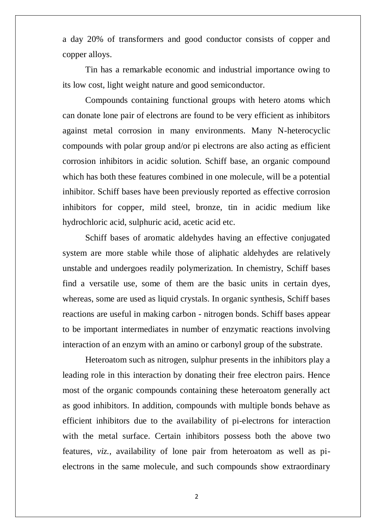a day 20% of transformers and good conductor consists of copper and copper alloys.

Tin has a remarkable economic and industrial importance owing to its low cost, light weight nature and good semiconductor.

Compounds containing functional groups with hetero atoms which can donate lone pair of electrons are found to be very efficient as inhibitors against metal corrosion in many environments. Many N-heterocyclic compounds with polar group and/or pi electrons are also acting as efficient corrosion inhibitors in acidic solution. Schiff base, an organic compound which has both these features combined in one molecule, will be a potential inhibitor. Schiff bases have been previously reported as effective corrosion inhibitors for copper, mild steel, bronze, tin in acidic medium like hydrochloric acid, sulphuric acid, acetic acid etc.

Schiff bases of aromatic aldehydes having an effective conjugated system are more stable while those of aliphatic aldehydes are relatively unstable and undergoes readily polymerization. In chemistry, Schiff bases find a versatile use, some of them are the basic units in certain dyes, whereas, some are used as liquid crystals. In organic synthesis, Schiff bases reactions are useful in making carbon - nitrogen bonds. Schiff bases appear to be important intermediates in number of enzymatic reactions involving interaction of an enzym with an amino or carbonyl group of the substrate.

Heteroatom such as nitrogen, sulphur presents in the inhibitors play a leading role in this interaction by donating their free electron pairs. Hence most of the organic compounds containing these heteroatom generally act as good inhibitors. In addition, compounds with multiple bonds behave as efficient inhibitors due to the availability of pi-electrons for interaction with the metal surface. Certain inhibitors possess both the above two features, *viz.,* availability of lone pair from heteroatom as well as pielectrons in the same molecule, and such compounds show extraordinary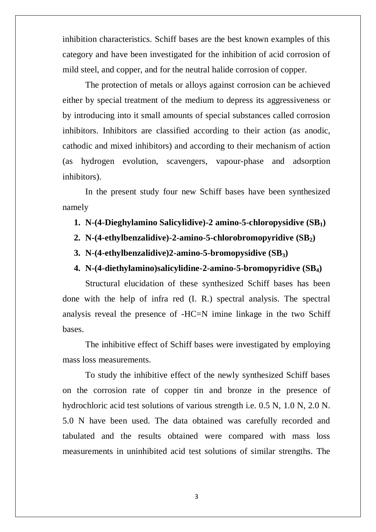inhibition characteristics. Schiff bases are the best known examples of this category and have been investigated for the inhibition of acid corrosion of mild steel, and copper, and for the neutral halide corrosion of copper.

The protection of metals or alloys against corrosion can be achieved either by special treatment of the medium to depress its aggressiveness or by introducing into it small amounts of special substances called corrosion inhibitors. Inhibitors are classified according to their action (as anodic, cathodic and mixed inhibitors) and according to their mechanism of action (as hydrogen evolution, scavengers, vapour-phase and adsorption inhibitors).

In the present study four new Schiff bases have been synthesized namely

- **1. N-(4-Dieghylamino Salicylidive)-2 amino-5-chloropysidive (SB1)**
- **2. N-(4-ethylbenzalidive)-2-amino-5-chlorobromopyridive (SB2)**
- **3. N-(4-ethylbenzalidive)2-amino-5-bromopysidive (SB3)**
- **4. N-(4-diethylamino)salicylidine-2-amino-5-bromopyridive (SB4)**

Structural elucidation of these synthesized Schiff bases has been done with the help of infra red (I. R.) spectral analysis. The spectral analysis reveal the presence of -HC=N imine linkage in the two Schiff bases.

The inhibitive effect of Schiff bases were investigated by employing mass loss measurements.

To study the inhibitive effect of the newly synthesized Schiff bases on the corrosion rate of copper tin and bronze in the presence of hydrochloric acid test solutions of various strength i.e. 0.5 N, 1.0 N, 2.0 N. 5.0 N have been used. The data obtained was carefully recorded and tabulated and the results obtained were compared with mass loss measurements in uninhibited acid test solutions of similar strengths. The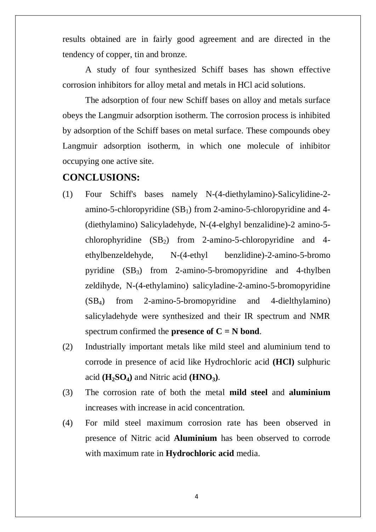results obtained are in fairly good agreement and are directed in the tendency of copper, tin and bronze.

A study of four synthesized Schiff bases has shown effective corrosion inhibitors for alloy metal and metals in HCl acid solutions.

The adsorption of four new Schiff bases on alloy and metals surface obeys the Langmuir adsorption isotherm. The corrosion process is inhibited by adsorption of the Schiff bases on metal surface. These compounds obey Langmuir adsorption isotherm, in which one molecule of inhibitor occupying one active site.

## **CONCLUSIONS:**

- (1) Four Schiff's bases namely N-(4-diethylamino)-Salicylidine-2 amino-5-chloropyridine  $(SB_1)$  from 2-amino-5-chloropyridine and 4-(diethylamino) Salicyladehyde, N-(4-elghyl benzalidine)-2 amino-5 chlorophyridine  $(SB_2)$  from 2-amino-5-chloropyridine and 4ethylbenzeldehyde, N-(4-ethyl benzlidine)-2-amino-5-bromo pyridine  $(SB_3)$  from 2-amino-5-bromopyridine and 4-thylben zeldihyde, N-(4-ethylamino) salicyladine-2-amino-5-bromopyridine (SB4) from 2-amino-5-bromopyridine and 4-dielthylamino) salicyladehyde were synthesized and their IR spectrum and NMR spectrum confirmed the **presence of**  $C = N$  **bond**.
- (2) Industrially important metals like mild steel and aluminium tend to corrode in presence of acid like Hydrochloric acid **(HCl)** sulphuric acid  $(\mathbf{H}_2\mathbf{SO}_4)$  and Nitric acid  $(\mathbf{H} \mathbf{NO}_3)$ .
- (3) The corrosion rate of both the metal **mild steel** and **aluminium** increases with increase in acid concentration.
- (4) For mild steel maximum corrosion rate has been observed in presence of Nitric acid **Aluminium** has been observed to corrode with maximum rate in **Hydrochloric acid** media.